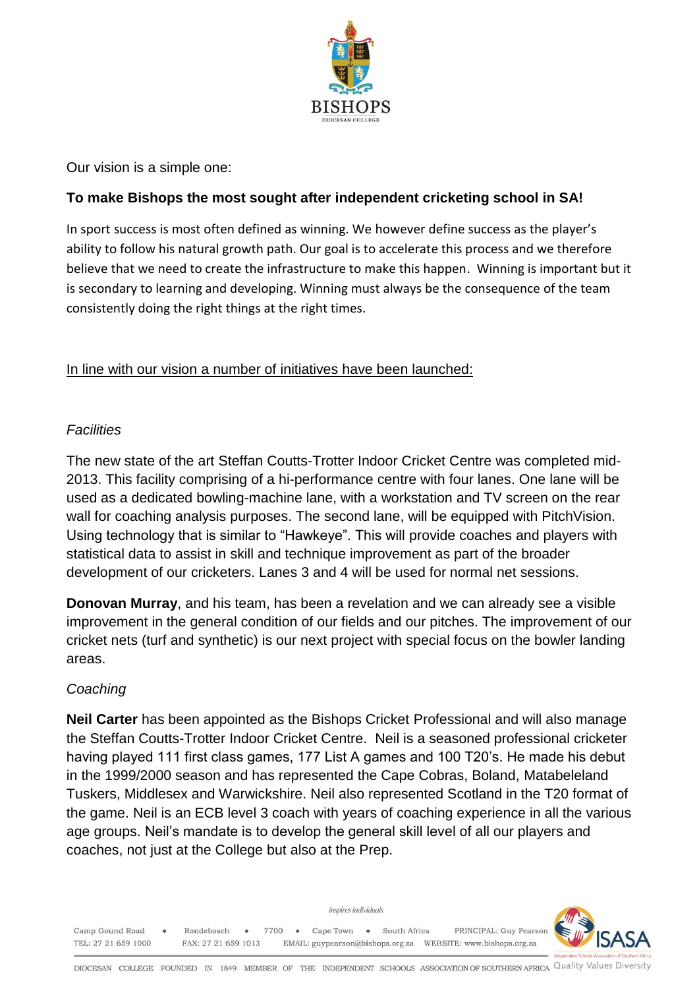

Our vision is a simple one:

#### **To make Bishops the most sought after independent cricketing school in SA!**

In sport success is most often defined as winning. We however define success as the player's ability to follow his natural growth path. Our goal is to accelerate this process and we therefore believe that we need to create the infrastructure to make this happen. Winning is important but it is secondary to learning and developing. Winning must always be the consequence of the team consistently doing the right things at the right times.

In line with our vision a number of initiatives have been launched:

#### *Facilities*

The new state of the art Steffan Coutts-Trotter Indoor Cricket Centre was completed mid-2013. This facility comprising of a hi-performance centre with four lanes. One lane will be used as a dedicated bowling-machine lane, with a workstation and TV screen on the rear wall for coaching analysis purposes. The second lane, will be equipped with PitchVision. Using technology that is similar to "Hawkeye". This will provide coaches and players with statistical data to assist in skill and technique improvement as part of the broader development of our cricketers. Lanes 3 and 4 will be used for normal net sessions.

**Donovan Murray**, and his team, has been a revelation and we can already see a visible improvement in the general condition of our fields and our pitches. The improvement of our cricket nets (turf and synthetic) is our next project with special focus on the bowler landing areas.

#### *Coaching*

**Neil Carter** has been appointed as the Bishops Cricket Professional and will also manage the Steffan Coutts-Trotter Indoor Cricket Centre. Neil is a seasoned professional cricketer having played 111 first class games, 177 List A games and 100 T20's. He made his debut in the 1999/2000 season and has represented the Cape Cobras, Boland, Matabeleland Tuskers, Middlesex and Warwickshire. Neil also represented Scotland in the T20 format of the game. Neil is an ECB level 3 coach with years of coaching experience in all the various age groups. Neil's mandate is to develop the general skill level of all our players and coaches, not just at the College but also at the Prep.



• Rondebosch • 7700 • Cape Town • South Africa PRINCIPAL: Guy Pearson Camp Gound Road TEL: 27 21 659 1000 FAX: 27 21 659 1013 

inspires individuals